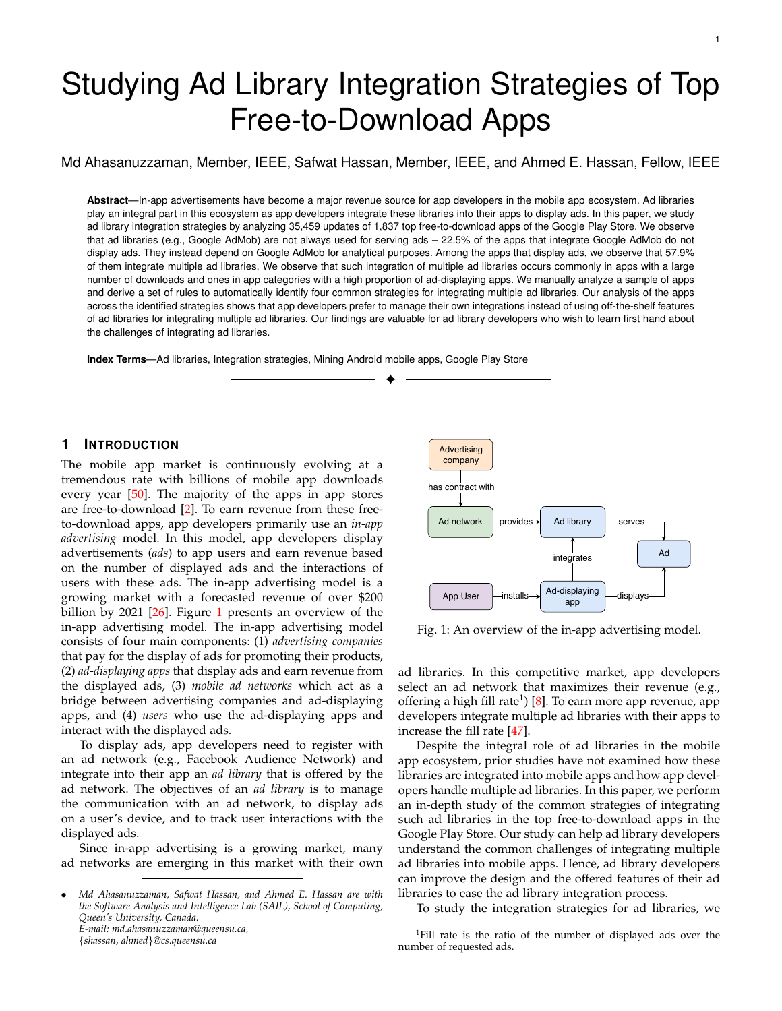# Studying Ad Library Integration Strategies of Top Free-to-Download Apps

Md Ahasanuzzaman, Member, IEEE, Safwat Hassan, Member, IEEE, and Ahmed E. Hassan, Fellow, IEEE

**Abstract**—In-app advertisements have become a major revenue source for app developers in the mobile app ecosystem. Ad libraries play an integral part in this ecosystem as app developers integrate these libraries into their apps to display ads. In this paper, we study ad library integration strategies by analyzing 35,459 updates of 1,837 top free-to-download apps of the Google Play Store. We observe that ad libraries (e.g., Google AdMob) are not always used for serving ads – 22.5% of the apps that integrate Google AdMob do not display ads. They instead depend on Google AdMob for analytical purposes. Among the apps that display ads, we observe that 57.9% of them integrate multiple ad libraries. We observe that such integration of multiple ad libraries occurs commonly in apps with a large number of downloads and ones in app categories with a high proportion of ad-displaying apps. We manually analyze a sample of apps and derive a set of rules to automatically identify four common strategies for integrating multiple ad libraries. Our analysis of the apps across the identified strategies shows that app developers prefer to manage their own integrations instead of using off-the-shelf features of ad libraries for integrating multiple ad libraries. Our findings are valuable for ad library developers who wish to learn first hand about the challenges of integrating ad libraries.

✦

**Index Terms**—Ad libraries, Integration strategies, Mining Android mobile apps, Google Play Store

#### **1 INTRODUCTION**

The mobile app market is continuously evolving at a tremendous rate with billions of mobile app downloads every year  $[50]$ . The majority of the apps in app stores are free-to-download [\[2\]](#page-14-0). To earn revenue from these freeto-download apps, app developers primarily use an *in-app advertising* model. In this model, app developers display advertisements (*ads*) to app users and earn revenue based on the number of displayed ads and the interactions of users with these ads. The in-app advertising model is a growing market with a forecasted revenue of over \$200 billion by 2021 [\[26\]](#page-14-1). Figure [1](#page-0-0) presents an overview of the in-app advertising model. The in-app advertising model consists of four main components: (1) *advertising companies* that pay for the display of ads for promoting their products, (2) *ad-displaying apps* that display ads and earn revenue from the displayed ads, (3) *mobile ad networks* which act as a bridge between advertising companies and ad-displaying apps, and (4) *users* who use the ad-displaying apps and interact with the displayed ads.

To display ads, app developers need to register with an ad network (e.g., Facebook Audience Network) and integrate into their app an *ad library* that is offered by the ad network. The objectives of an *ad library* is to manage the communication with an ad network, to display ads on a user's device, and to track user interactions with the displayed ads.

Since in-app advertising is a growing market, many ad networks are emerging in this market with their own

<span id="page-0-0"></span>

Fig. 1: An overview of the in-app advertising model.

ad libraries. In this competitive market, app developers select an ad network that maximizes their revenue (e.g., offering a high fill rate $^1$ ) [\[8\]](#page-14-2). To earn more app revenue, app developers integrate multiple ad libraries with their apps to increase the fill rate [\[47\]](#page-15-1).

Despite the integral role of ad libraries in the mobile app ecosystem, prior studies have not examined how these libraries are integrated into mobile apps and how app developers handle multiple ad libraries. In this paper, we perform an in-depth study of the common strategies of integrating such ad libraries in the top free-to-download apps in the Google Play Store. Our study can help ad library developers understand the common challenges of integrating multiple ad libraries into mobile apps. Hence, ad library developers can improve the design and the offered features of their ad libraries to ease the ad library integration process.

To study the integration strategies for ad libraries, we

<sup>•</sup> *Md Ahasanuzzaman, Safwat Hassan, and Ahmed E. Hassan are with the Software Analysis and Intelligence Lab (SAIL), School of Computing, Queen's University, Canada. E-mail: md.ahasanuzzaman@queensu.ca,* {*shassan, ahmed*}*@cs.queensu.ca*

<sup>1</sup>Fill rate is the ratio of the number of displayed ads over the number of requested ads.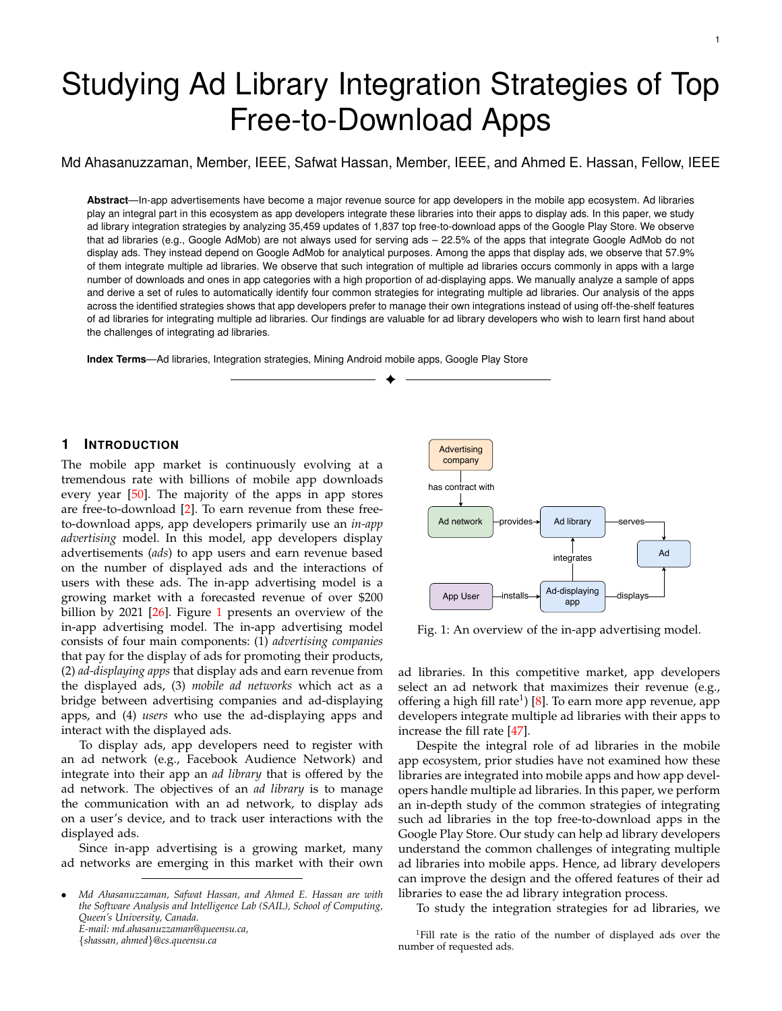analyzed 35,459 updates of 1,837 top free-to-download apps across all the categories of the Google Play Store. Our scope for this research is to study how popular apps integrate ad libraries using standard practices. In particular, we studied such strategies along with the following research questions (RQs):

RQ1: What are the characteristics of apps which integrate multiple ad libraries?

The integration of multiple ad libraries occurs commonly in the apps with a large number of downloads and ones in app categories where a high proportion of apps integrate ad libraries.

RQ2: How do app developers integrate multiple ad libraries with their apps?

We manually examined a statistically representative random sample of ad-displaying apps (62) that integrate multiple ad libraries and derived a set of rules to automatically identify (four) strategies that app developers employ for integrating multiple ad libraries: (1) external-mediation strategy (app developers use an external-ad-mediator package that is provided by an ad library and do not write their own code to integrate other ad libraries), (2) self-mediation strategy (app developers write their own centralized code (self-mediator) to integrate ad libraries), (3) scattered strategy (app developers scatter their code across the different app screens), and (4) mixed strategy app developers use both the external-mediation strategy and the scattered strategy).

We document the de nition, example app, the bene ts, and drawbacks of each identi ed strategy for integrating multiple ad libraries. Developers of ad libraries can leverage our strategies to ensure that their ad libraries can support the varying needs of ad-displaying apps.

Paper organization. Section 2 describes our data collection process. Section 3 discusses the characteristics of our dataset. Section 4 presents the results of our study. Section 5 discusses how app developers maintain their integrated ad libraries over time. Section 6 describes the implications of our work. Section 7 describes threats to the validity of our observations. Section 8 discusses related work, and Section 9 concludes the paper.

# 2 DATA COLLECTION

This section describes our process for collecting ad library data. Figure 2 represents an overview of our data collection process. As shown in Figure 2, we rst collected the updates of top free-to-download apps in the Google Play Store. Then, we identi ed ad libraries that are integrated by the apps in these updates. Finally, we identi ed the updates that display ads. We brie y highlight each step below.

# 2.1 Collecting updates of the top free-to-download apps

Step 1: Select top Android apps. In our study, we focus on the top free-to-download apps as these apps have a large user-base. Hence, these apps are likely to follow the in-app advertising model to earn revenue. Moreover, these apps are likely to carefully maintain their ad integration code in order to ensure that they do not lose any ad revenue. To obtain the list of popular apps, we used the App Annie's report [25]

Fig. 2: An overview of our data collection process.

that lists the popular apps across the 28 categories (e.g., Games) in the Google Play Store in 2016. Then, we selected the top 100 apps in each app category so that our study does not have any bias due to variances across the different app categories. During the app selection process, we found that 746 apps were already removed from the Google Play Store at the start of our study period and 214 apps were repeated across the app categories. In total, we selected 1,840 apps and downloaded all their deployed updates for our study. Step 2: Crawl app data. We ran a custom crawler (based on the Akdeniz [23] Google Play crawler) for 18 months from April 20<sup>th</sup> 2016 to September  $20^{\circ}$  2017 to collect the deployed updates of our studied apps. To study any changes (e.g., code changes) of an app, we need at least two updates of the app. We observed that three apps have only one update during our study period. Therefore, we removed these three apps from our study. Finally, we collected 35,459 updates of the 1,837 top free-to-download apps.

#### 2.2 Identifying the integrated ad libraries

App developers integrate many third-party libraries and identifying an ad library package from these third-party libraries is a non-trivial task. To identify an ad library package, we followed a similar approach to the exhaustive one that is employed by Ruiz et al. [48]. We detail our process below.

First, we converted the APKs of the collected updates to JARs using the dex2jar tool [6]. Then, we used the BCEL tool [24] to extract the fully quali ed class names (i.e., the class name and the package name) of all classes in the generated JARs. Since prior studies show that an ad library's packages or class names contain the term "ad" or "Ad" [44], we ltered the fully quali ed class names using the regular expression "[aA][dD]". However, this exhaustive regular expression matches many class names that are not related to ad libraries (e.g., com.fbox.load.ImageLoad ). Hence, to identify ad libraries, we followed Ruiz et al.'s [48] approach by manually verifying online the package name of each of the matched classes. We manually veri ed 303 packages on the web. In total, we identi ed 63 ad libraries.

#### 2.3 Identifying updates that display ads

In the previous step, we identi ed the list of the integrated ad libraries. However, integrating an ad library in an update does not necessarily imply that the update displays ads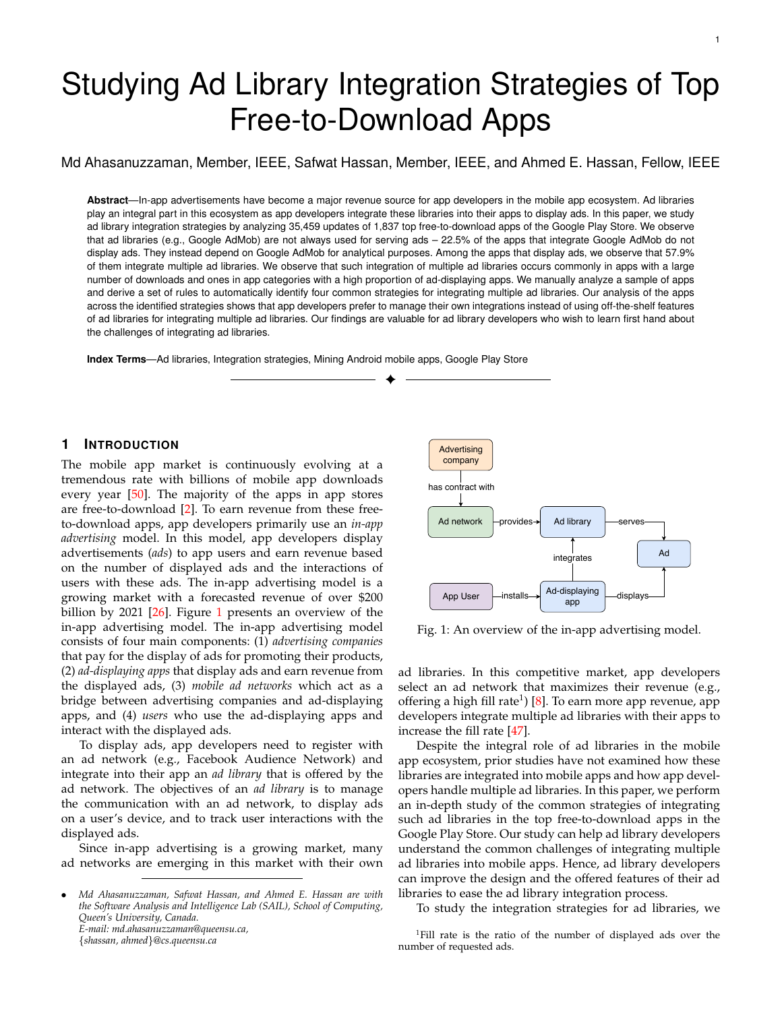(e.g., ad libraries can be used for analytical purposes as we discovered in our study). To identify the updates that display ads, rst, we identi ed the app screens (as ads need to be displayed through the app screens). Then, we identi ed the screens that display ads. The details of our approach are as follows.

Step 1: Identify app screens. To create a single app screen, app developers write the required functionality of the screen in a java class which is known as an Activity . Then, app developers de ne the app screens (i.e, activities) in the AndroidManifest.xml le using the " < activity> " tag [1]. Hence, to identify the app screens, we parsed the Android-Manifest.xml le and listed all the de ned activities (using the " <activity > " tag) and their corresponding classes. Step 2: Identify the screens that display ads. First, we identi-ed the integrated libraries in every screen using the BCEL tool [24]. Then, we identi ed screens that display ads if the screen code invokes the display method in the integrated ad library (e.g., calling the showAd() method). To identify the display ad methods, we read the documentation of the studied ad libraries and summarized the list of methods that are used for displaying ads. In our replication package  $2$ , we added a list of such methods for each studied ad library. Finally, we agged an update as an ad-displaying update if the update contains at least one screen that displays an ad.

At the end of this step, we identi ed all updates that display ads.

#### 3 DATA CHARACTERISTICS

In this section, we describe the characteristics of our dataset in terms of (1) ad-displaying functionality, (2) app category, and (3) integrated ad libraries.

Ad libraries are not only used for serving ads but also for analytical purposes. The studied apps can be classi ed into two main categories: (1) ad-displayingapps (i.e., apps that integrate ad libraries to display ads) and (2) non-addisplayingapps (i.e., apps that do not display ads). Table 1 describes our dataset.

As shown in Table 1, non-ad-displaying apps can be of two types: (1) apps that integrate ad libraries but do not display ads and (2) apps that do not integrate ad libraries. We observe that 22.5% of the non-ad-displaying apps belong to type 1 (i.e., integrate ad libraries but do not display ads), and all of these apps integrate the Google AdMob ad library. We also identi ed 77 apps (4.2% of the studied apps), where we observe that the apps contain ad library packages, but the static analysis tool could not nd any method call to ad library packages. Of these 77 apps, we observe that 69 apps use native code. Studying native apps using static analysis tools is dif cult and could introduce false positive cases in our analysis. Therefore, in this paper, we focus on studying the apps (1,076 apps) that our static analysis approach identi es a call to show-ad methods of ad libraries from app code.

In our further analysis of the non-ad-displaying apps that integrate ad libraries, we observed that all these apps integrate the Google AdMob ad library for analytical purposes. We observed that analytical libraries (e.g., Google

<sup>2</sup>https://github.com/SAILResearch/suppmaterial-18-ahsanads\_consumer\_apps

#### TABLE 1: Statistics of the studied apps.

| App category      | Category de nition                                                                                                                                                                  | # of<br>apps | $%$ of<br>apps |
|-------------------|-------------------------------------------------------------------------------------------------------------------------------------------------------------------------------------|--------------|----------------|
| Ad-displaying     | Apps that integrate ad libraries and<br>display ads (i.e., apps that call show-ad<br>methods).                                                                                      | 1.076        | 58.6%          |
| Non-ad-displaying | Apps that do not contain any of the<br>identi ed ad library packages.                                                                                                               | 530          | 28.9%          |
|                   | Apps that integrate Google AdMob for<br>analytical purposes instead of<br>displaying ads.                                                                                           | 154          | 8.4%           |
| Others            | Apps that contain ad library packages<br>that are not used (called) by any other<br>packages in the app: 69 apps with<br>native code and 8 apps that do not<br>contain native code. | 77           | 4 2%           |

TABLE 2: Top ten third party libraries that depend on the Google AdMob ad library.

| Package name                                             | Library name                    | # of<br>apps<br>using<br>the<br>package | $%$ of<br>apps<br>using<br>the<br>package |
|----------------------------------------------------------|---------------------------------|-----------------------------------------|-------------------------------------------|
| com.google.android.gms.analytics [13]                    | Google Analytics                | 151                                     | 98.1%                                     |
| com.apps yer [3]                                         | <b>AppsFlyer Analytics</b>      | 23                                      | 14.9%                                     |
| com. urry.sdk [7]                                        | <b>Flurry Analytics</b>         | 14                                      | 9.1%                                      |
| com.kochava.android.tracker [9]                          | Kochava Analytics               | 13                                      | 8.4%                                      |
| com.localytics.android [11]                              | <b>Android Location Tracker</b> | 10                                      | 6.5%                                      |
| com.life360.android.location [10]                        | Life 350 Location Tracker       | 4                                       | 2.6%                                      |
| com.mologiq.analytics [14]                               | MoLogig Analytic                | 4                                       | 2.6%                                      |
| com.quantcast.measurement.service [15] Quantcast Measure |                                 | 4                                       | 2.6%                                      |
| com.urbanairship.analytics [18]                          | <b>Urban Airship Analytics</b>  | 3                                       | 1.9%                                      |
| com.moat.analytics.mobile.ovi [12]                       | <b>Moat Analytics</b>           | $\overline{2}$                          | 1.3%                                      |

TABLE 3: Statistics for the top ten integrated ad libraries.

| Ad library                | $#$ of ad-<br>displaying<br>apps | $%$ of ad-<br>displaying<br>apps |
|---------------------------|----------------------------------|----------------------------------|
| Google AdMob              | 1,043                            | 96.9%                            |
| Facebook Audience Network | 478                              | 44.4%                            |
| MoPub                     | 287                              | 26.7%                            |
| Amazon Mobile Ad          | 122                              | 11.3%                            |
| Flurry                    | 105                              | 9.7%                             |
| <b>InMobi</b>             | 105                              | 9.7%                             |
| Millennialmedia           | 104                              | 9.6%                             |
| AdColony                  | 91                               | 8.5%                             |
| Applovin                  | 84                               | 7.8%                             |
| Unity Ads                 | 65                               | 6.1%                             |

Analytics and AppsFlyer analytics) were dependent on the Google AdMob ad library for uniquely identifying a users device. Table 2 shows the top ten used third-party libraries that depend on the Google AdMob ad library (for the studied 154 apps) to identify a users device. For example, the Google Analytics library depends on the package "com.google.android.gms.ads.identi er" [5] of the Google AdMob ad library which provides the functionality to generate an Android Advertising ID (AAID) to identify a users device instead of using a users personal information (e.g., IMEI number or device MAC address – a practice that is not recommended by Google) [19], [52].

Given our abovementioned observation that ad libraries are not used only for serving ads, further studies of ad libraries need to be careful that the analyzed apps are addisplaying apps (i.e., the integrated ad libraries are used for serving ads). Otherwise, researchers on mobile ad libraries could falsely identify the ad-displaying apps.

Although the Google AdMob and Facebook Audience Net-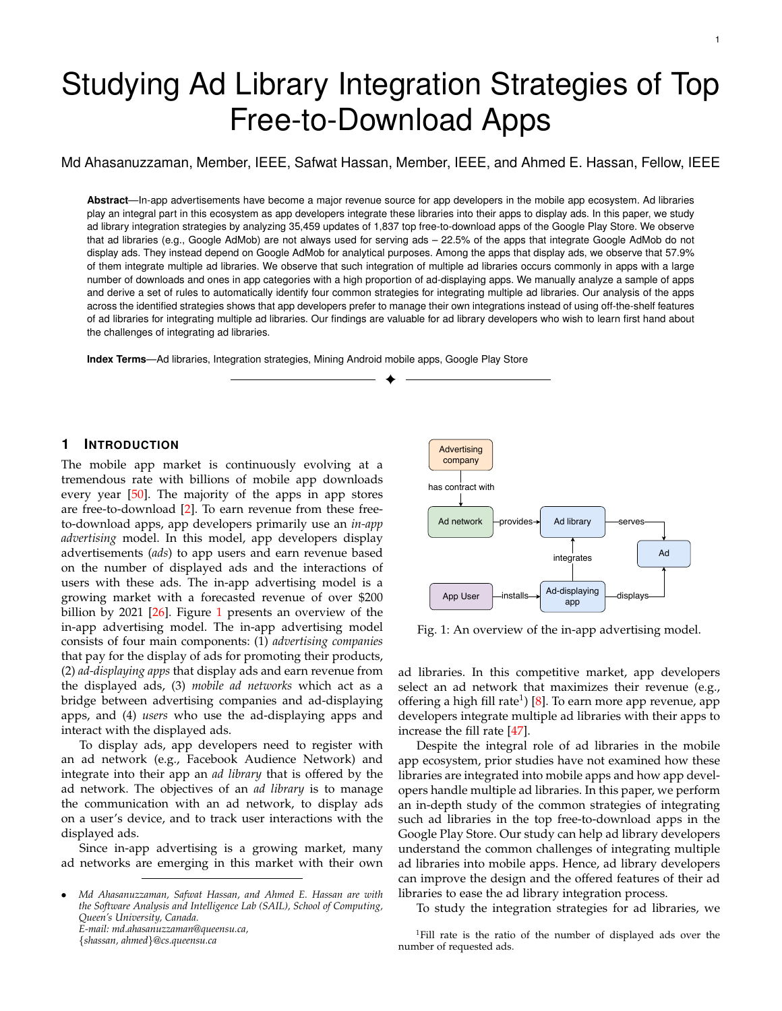work are the most integrated ad libraries throughout the studied ad-displaying apps, some ad libraries are popular within certain app categories. Table 3 presents the top ten integrated ad libraries of the studied ad-displaying apps. The Google AdMob is the most widely integrated ad library (96.4% of the ad-displaying apps integrate the Google AdMob ad library).

To understand the popularity of an ad library in every app category, we measured the percentage of apps that integrate every ad library in each app category. Table 4 shows the top ve integrated ad libraries in each app category. We observe that the Google AdMob and Facebook

TABLE 4: Top ve ranked ad libraries in each app category.

| App category        | Rank 1   | Rank 2   | Rank 3           | Rank 4   | Rank 5           |
|---------------------|----------|----------|------------------|----------|------------------|
| Music and audio     | GA(95%)  | FAN(34%) | MP(23%)          | MM(13%)  | IM(11%)          |
| Weather             | GA(100%) | MP(53%)  | FAN(45%)         | AMA(38%) | MM(30%)          |
| Personalization     | GA(96%)  | FAN(85%) | MP(37%)          | FL(9%)   | UA(8%)           |
| Entertainment       | GA(85%)  | FAN(43%) | MP(27%)          | AV(23%)  | UA(21%)          |
| Photography         | GA(94%)  | FAN(59%) | MP(23%)          | MV(19%)  | AV(10%)          |
| Game                | GA(90%)  | UA(52%)  | AC(50%)          | VL(40%)  | AV(41%)          |
| News and magazines  | GA(95%)  | FAN(31%) | MP(28%)          | FH(15%)  | IA(11%)          |
| Tools               | GA(98%)  | FAN(69%) | MP(45%)          | FL(18%)  | DAP(18%)         |
| Video players       | GA(95%)  | FAN(28%) | MP(15%)          | IM(8%)   | AV(6%)           |
| Auto and vehicles   | GA(100%) | FAN(14%) | MP(14%)          |          |                  |
| Sports              | GA(90%)  | FAN(20%) | FH(15%)          | MP(13%)  | MM(11%)          |
| Social              | GA(92%)  | FAN(65%) | MP(37%)          | FL(27%)  | IM(22%)          |
| Comics              | GA(88%)  | FAN(30%) | AMA(22%) AC(19%) |          | IM(13%)          |
| Books and reference | GA(88%)  | FAN(24%) | MP(13%)          |          | AMA(13%) AB(11%) |
| Health and tness    | GA(100%) | FAN(35%) | MP(20%)          | AMA(17%) | MV(10%)          |
| Productivity        | GA(95%)  | FAN(64%) | MP(26%)          | FL(16%)  | DAP(9%)          |
| Lifestyle           | GA(100%) | FAN(45%) | MP(31%)          | AMA(18%) | FL(13%)          |
| Communication       | GA(89%)  | FAN(54%) | MP(35%)          | FL(21%)  | IM(18%)          |
| Medical             | GA(100%) | MP(30%)  | FAN(23%)         | AM(15%)  | AC(11%)          |
| Shopping            | GA(90%)  | FAN(18%) | TJ(4%)           | MP(4%)   | VL(4%)           |
| Finance             | GA(100%) | FAN(13%) | MP(6%)           | FY(6%)   | MM(6%)           |
| Maps and navigation | GA(92%)  | FAN(7%)  | MP(7%)           | AS(3%)   |                  |
| Travel and local    | GA(78%)  | MP(21%)  | MM(14%)          | FL(7%)   | AOL(7%)          |
| Education           | GA(96%)  | FAN(33%) | MP(22%)          | FL(7%)   |                  |
| Libraries and demo  | GA(65%)  | MP(11%)  | IM(11%)          | FL(11%)  | MP(11%)          |
| <b>Business</b>     | GA(91%)  | FAN(35%) | MP(13%)          | AMA(8%)  | DAP(4%)          |

The abbreviations for ad libraries are as follows: AdColony (AC), AdMarvel (AM) ,<br>AerServ (AS), Amazon Mobile Ad (AMA) , AppBrain (AB), Du Ad Platform (DAP),<br>Facebook Audience Network (FAN), Flurry (FL), FreeWh (GA), InMobi (IM), MillennialMedia (MM) , MobVista (MV), MoPub (MP), TapJoy (TJ), Unity Ads (UA), and Vungle (VL).

The bold text highlights ad libraries (in Rank 2) other than Facebook Audience Network (FAN) ad library.

Audience Network are the most integrated ad libraries in each app category. However, other ad libraries are popular within certain app categories. For example, we observe that the Unity Ads ad library is the second most integrated ad library in the Game category (52% of the ad-displaying apps in the Game category integrate the Unity Ads ad library). One possible reason for the popularity of the Unity Ads ad library in the Game category is that the library provides easy integration to the apps that are built on the Unity framework (a popular framework for building games). In addition, the Unity Ads ad library offers features for displaying rewarded video ads (e.g., users earn an extra life or coins if they watch a video ad), which have become popular among video gaming apps as these ads improve user engagement with the app [16], [20].

We also observe that the MoPub (MP) ad library is the second most popular ad library in four app categories (i.e., the Weather, Medical, Travel and local, and Libraries and demo app categories). One possible reason for the MoPub's popularity in these categories is that the MoPub ad library offers an external-ad-mediator. The external-ad-mediator is an ad library feature that facilitates the integration of multiple other ad libraries. In particular, we observe that 76%

Fig. 3: The percentage of ad-displaying apps that integrate a speci c number of ad libraries.

of the ad-displaying apps in the Weather category integrate multiple ad libraries with the external-ad-mediator of the MoPub ad library. We also observe that the external-admediator of the MoPub ad library is the most used externalad-mediator in other app categories (i.e., Medical, Travel and local, and Libraries and demo app categories).

**Summary** 

While ad libraries are commonly integrated for serving ads, they are often integrated for analytical purposes. The mobile ad market is heavily dominated by the Google AdMob and Facebook Audience Network ad libraries, yet other ad libraries still play a leading role in some particular app categories.

# 4 A STUDY OF THE INTEGRATION STRATEGIES OF AD LIBRARIES

We now present our study of the integration strategies of ad libraries. For each research question, we discuss the motivation, approach and results.

4.1 RQ1: What are the characteristics of apps which integrate multiple ad libraries?

Motivation: Ad networks decide whether to serve ads for a requesting app based on different factors (e.g., the characteristics of the user-base of that app). Hence, apps most often integrate more than one ad library. A good understanding of the apps that integrate multiple ad libraries would help the developers of ad libraries better understand how apps use their ad libraries and how their libraries co-exist with other competing ad libraries.

Approach:For this study, we calculated the percentage of ad-displaying apps that integrate a speci c number of ad libraries. Then, we calculated the multiple-adsratio (as the ratio of apps that integrate multiple ad librariesto apps that integrate a single ad library across every download range. A multiple-ads ratio that is higher than one indicates that the number of apps that integrate multiple ad libraries is higher than the number of apps that integrate a single ad library (for a certain download range).

Findings: 57.9% of the ad-displaying apps integrate multiple ad libraries. Figure 3 shows the percentage of addisplaying apps along with the number of integrated ad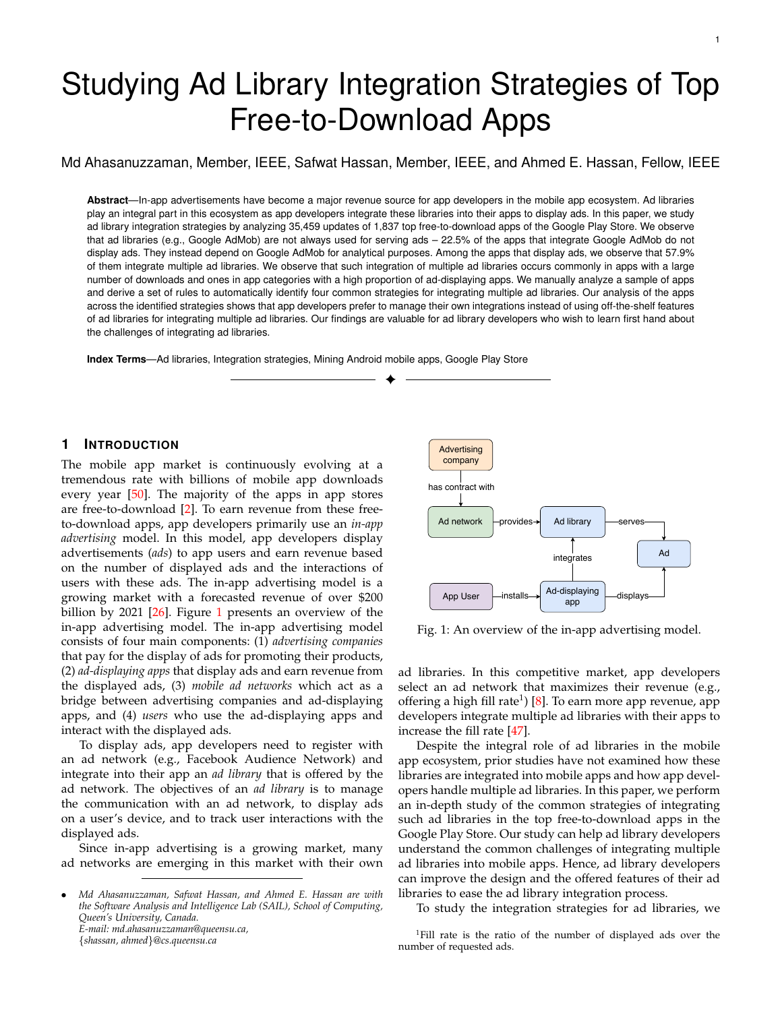Fig. 4: A line plot showing the ratio of the number of apps that integrate more than one ad library over the number of apps that integrate a single ad library across the number of app downloads. The red dotted line in the gure shows the ratio value 1.

libraries. The number of integrated ad libraries could reach up to 19 ad libraries. For instance, the "FreeTone Free Calls & Texting" <sup>3</sup> app integrates 19 ad libraries; these ad libraries represent 32% of the binary size of the app. App developers integrate multiple ad libraries to increase the ad Il rate (i.e., to ensure that their apps can always display an ad) [47].

Apps with a large number of downloads are more likely to integrate multiple ad libraries. Figure 4 presents a line plot of the multiple-ads ratio along with the number of downloads. The ratio value increases as the number of downloads increases. The increase in the ratio value from one to ve indicates that apps having a high number of downloads tend to integrate multiple libraries.

The Spearman's rank-order correlation between the number of downloads and the multiple-ads ratio is  $= 0.92$ (with a p value less than 0:05), indicating that the probability of integrating multiple ad libraries increases with the growth in the number of downloads.

Ad-displaying apps are distributed across app categories – with apps in categories having a high proportion of ad-displaying apps integrating multiple ad libraries. Table 5 presents the distribution of ad-displaying apps, the median number of integrated ad libraries, and the maximum number of integrated ad libraries in each app category. Ad-displaying apps are distributed across app categories, with some categories having a higher penetration of ads. For example, more than 90% of the studied apps in the Music and audio the Weather and the Personalizationapp categories integrate ad libraries.

The median number of integrated ad libraries is greater than one for 57.6% of the app categories. The Spearman's rank-order correlation between the percentage of addisplaying apps and the number of integrated ad libraries (median) for every app category is  $= 0.7$  (p value is less than 0:05), indicating that the number of integrated ad libraries increases with the growth in the proportion of addisplaying apps within a category.

<sup>3</sup>https://play.google.com/store/apps/details?id=com.textmeinc .freetone

TABLE 5: Distribution of apps that use ad libraries in each app category.

| App category        | # of<br>studied<br>apps | $#$ of ad-<br>displaying<br>apps | $%$ of<br>ad-<br>displaying<br>apps | Median<br># of inte-<br>grated<br>ad<br>libraries | Maxi-<br>$mum \# of$<br>inte-<br>grated ad<br>libraries |
|---------------------|-------------------------|----------------------------------|-------------------------------------|---------------------------------------------------|---------------------------------------------------------|
| Music and audio     | 67                      | 64                               | 95%                                 | $\overline{2}$                                    | 11                                                      |
| Weather             | 76                      | 71                               | 93%                                 | 5                                                 | 13                                                      |
| Personalization     | 89                      | 82                               | 92%                                 | 3                                                 | 10                                                      |
| Entertainment       | 52                      | 42                               | 81%                                 | 3                                                 | 15                                                      |
| Photography         | 94                      | 77                               | 81%                                 | $\overline{2}$                                    | 10                                                      |
| Game                | 59                      | 47                               | 79%                                 | 6                                                 | 17                                                      |
| News and magazines  | 78                      | 59                               | 76%                                 | $\overline{2}$                                    | 7                                                       |
| Tools               | 93                      | 69                               | 74%                                 | 3                                                 | 9                                                       |
| Video players       | 59                      | 44                               | 71%                                 | 1                                                 | 7                                                       |
| Auto and vehicles   | 10                      | 7                                | 70%                                 | 1                                                 | $\overline{2}$                                          |
| Sports              | 74                      | 52                               | 70%                                 | $\overline{2}$                                    | 11                                                      |
| Social              | 81                      | 54                               | 67%                                 | 3                                                 | 19                                                      |
| Comics              | 56                      | 36                               | 64%                                 | $\overline{2}$                                    | 7                                                       |
| Books and reference | 77                      | 45                               | 58%                                 | 1                                                 | 9                                                       |
| Health and tness    | 70                      | 38                               | 54%                                 | 2                                                 | 6                                                       |
| Productivity        | 80                      | 42                               | 52%                                 | 2                                                 | 10                                                      |
| Lifestyle           | 42                      | 20                               | 49%                                 | $\overline{2}$                                    | 7                                                       |
| Communication       | 76                      | 36                               | 48%                                 | 3                                                 | 12                                                      |
| Medical             | 55                      | 26                               | 47%                                 | 1                                                 | 6                                                       |
| Shopping            | 53                      | 22                               | 42%                                 | 1                                                 | 4                                                       |
| Finance             | 38                      | 15                               | 39%                                 | 1                                                 | 4                                                       |
| Travel and local    | 69                      | 27                               | 39%                                 | 1                                                 | 8                                                       |
| Maps and navigation | 69                      | 26                               | 37%                                 | 1                                                 | 3                                                       |
| Education           | 70                      | 24                               | 34%                                 | 1                                                 | 6                                                       |
| Libraries and demo  | 27                      | 9                                | 33%                                 | 1                                                 | 5                                                       |
| <b>Business</b>     | 81                      | 23                               | 28%                                 | 1                                                 | 5                                                       |

One of the possible explanations for integrating multiple ad libraries is that as the number of downloads of an app increases or the proportion of ad-displaying apps increases in a category, the competition for ads to display from ad libraries increases, which in turn leads to a lower Il rate. Hence, integrating multiple ad libraries increases the chance of having an ad to display and the potential ad revenue for ad-displaying apps [47].

#### Summary of RQ 1

The probability of integrating multiple ad libraries increases as the number of downloads of an app increases. Apps in categories with a high proportion of ad-displaying apps are more likely to integrate multiple ad libraries. We hypothesize that the integration of multiple ad libraries is a mechanism to cope with the high demand for ads in an attempt to improve the ad II rate.

4.2 RQ2: How do app developers integrate multiple ad libraries?

Motivation: Integrating multiple ad libraries is a common practice in ad-displaying apps. A good understanding of how app developers integrate multiple ad libraries can help ad library developers identify the challenges and the possible improvements for their ad libraries.

Approach:To identify the strategies for integrating multiple ad libraries, the rst and the second author of this paper manually analyze several ad-displaying apps where app developers integrate multiple ad libraries as follows.

Step 1: Selecting a statistically representative sample of ad-displaying apps. Our data set has 623 ad-displaying apps that integrate multiple ad libraries. Analyzing all these ad-displaying apps manually is both dif cult and time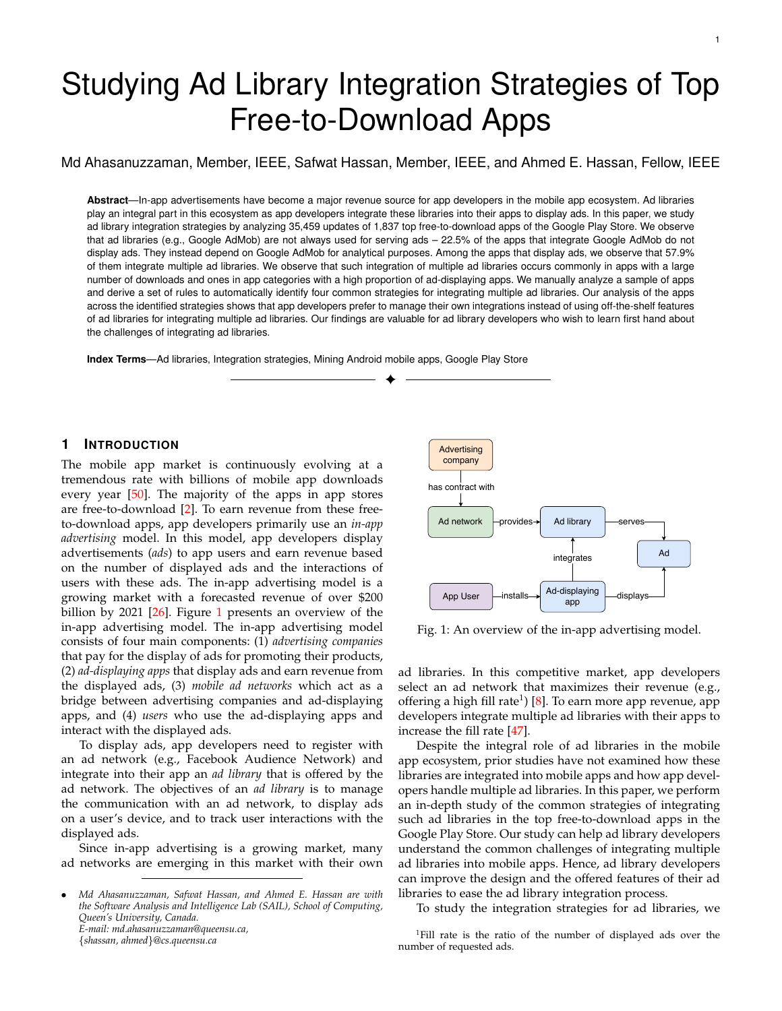consuming. Therefore, for our manual study, we selected a statistically representative random sample of 62 apps (out of the 623 ad-displaying apps) providing us with a con-dence level of 90% and a con dence interval of 10%.

Step 2: Generating a static call graph for each selected app. To understand how app developers integrate multiple ad libraries, we need to analyze the call-site source code (i.e., the packages, classes, and methods that are needed to communicate with an ad library). Hence, we decompiled the generated JARs (in Section 2) into Java source code les using the Class File Reader (CFR) tool [4]. Then, we used the Understand tool [17] to generate and visualize the dependency call graph of each studied ad-displaying app. Step 3: Identifying the strategies of integrating multiple ad libraries. We start our manual analysis with an openended question "How does an app integrate multiple ad libraries?". We observe that apps differ in the way by which they integrate ad libraries with respect to two practices: (1) whether the app code uses a centralized component (i.e., an ad mediator component ) that handles the access to the multiple ad libraries and (2) whether the centralized component is written by the app developer or by the library designer.

Hence, we manually investigate every selected addisplaying app based on the following two questions: "Does the app code call a centralized component that handles the access to the multiple ad libraries?" and "Is that centralized component written by the app developer or by the library developer?". Then, we grouped apps with similar integration behavior (in the context of the aforementioned investigated questions) as an integration strategy . Finally, we derived a set of rules to automatically identify the integration strategy for any unseen app.

To generate the static call graph and analyze the app code (i.e., classes, methods, and packages) for identifying integration strategies, we took 40 minutes on average for each of the studied apps.

Step 4: Analyzing the characteristics of the identied integration strategies. We ran the derived rules on the studied 623 ad-displaying apps and identi ed apps that belong to every integration strategy. Then, we studied the characteristics (i.e., the number of call-cite classes) of the apps that belong to every integration strategy. Finally, based on our analysis of the apps, we provide a description, an example, the bene ts, and the drawbacks of each identi ed strategy for integrating multiple ad libraries.

To better understand the integration strategies for ad libraries, we analyze qualitative data sources. In particular, we manually examine two artifacts: (1) 500 Stack Over ow (SO) posts that are related to mobile ads, and (2) 35 adrelated articles from the developer forums and blogs of the top ten ad libraries (e.g., the InMobi blog) as follows:

Step 1: Collecting qualitative data. To identify the Android ad-network-related posts in Stack Overow we employ SO's search option using the following keywords: "multiple ad network", " Il rate android", "ad mediation", and "admob banner facebook native". The SO's search option returned 255 posts for "multiple ad networks", 118 posts for "le rate android", 113 posts for "mediation ads android", and 14 posts for "admob banner facebook native". In total, we collect 500 ad-network-related posts.

| Ad library integration<br>strategy | # of apps | % of apps |
|------------------------------------|-----------|-----------|
| Mixed strategy                     | 317       | 50.9%     |
| Self-mediation strategy            | 166       | 26.6%     |
| External-mediation strategy        | 63        | 10.2%     |
| Scattered strategy                 | 77        | 12.3%     |

The collected SO posts are answered within one (median) day with a median of 667 views – highlighting that our topic and addressed challenges are of great relevance to the development community. To identify ad-network-related articles, we search on Google using a combination of the aforementioned keywords and the names of the different ad libraries. We select only those articles that are related to the forum discussions (e.g., Google Mobile Ads SDK Technical Forum) and blogs of ad libraries. We collected 35 ad-related articles from the developer forums and blogs of the top ten ad libraries.

Step 2: Investigating qualitative data. In this step, the rst two authors of this paper manually investigate each of the collected SO posts. Our objective of the analysis is to understand the strategies that developers follow to integrate multiple ad libraries into their apps and the associated issues with these strategies. To achieve this objective, we carefully read the title and body of each SO post. In addition, we examine the answers and the comments of every post to understand the integration strategies for ad libraries. Although each of the selected SO posts adds knowledge about integrating multiple ad libraries, we identi-ed 25 SO posts that speci cally mention drawbacks or bene ts of the integration strategies for ad libraries.

During our manual analysis, if there was a disagreement in the meaning of a post, we (the authors) carefully reread the answers and the comments related to the post and further discussed it until consensus was reached. Since both authors analyzed together all SO posts and agreements (on all analysis of the examined posts) were reached in the end, the authors did not compute the inter-rater agreement. To facilitate the replicability of our work, the studied SO posts are available in our replication package. We follow the same approach to manually study the 35 ad-related articles to understand the process of integrating multiple ad libraries.

It took around 7 minutes to read each SO post and 10 minutes to read each ad-related article (from each author). In total, it took around 12 hours from each author to nish analyzing all the selected SO posts and ad-related articles.

Findings: We identi ed four strategies for integrating multiple ad libraries. Table 6 shows the distribution of apps across the identi ed strategies. In the next section, we explain the identi ed integration strategies.

# (1) External-mediation strategy

Description of the external-mediation strategy:

In this strategy, app developers write code to integrate only one ad library that offers a mediator package. This mediator package is responsible for serving ads from other ad networks, which are supported by the ad library. Since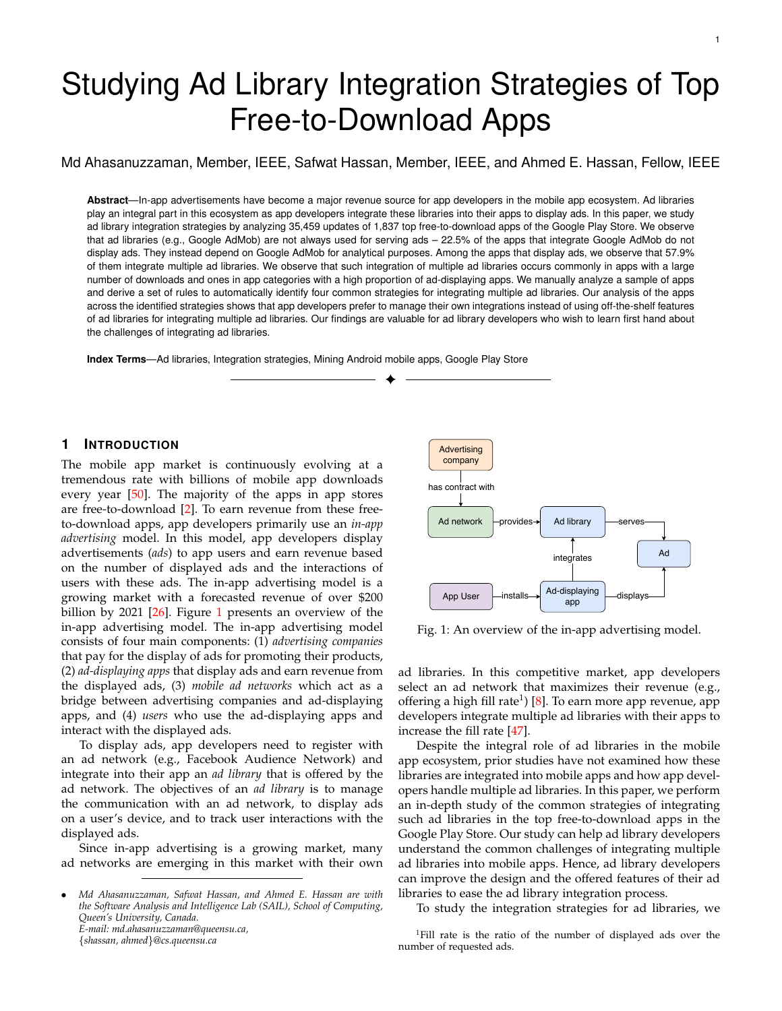Fig. 5: An overview of the external-mediation strategy.

the mediator is not written by the app developers, we call this an external-mediation strategy.

Figure 5 shows an overview of how app developers integrate multiple ad libraries using an external-mediation strategy. App developers integrate an ad library (Ad Library 1) that has an external-ad-mediator. Every app screen that displays ads communicates only with the external-admediator of the Ad Library 1. The external-ad-mediator communicates with the integrated ad libraries and serves ads from these libraries.

Rules for automatically identifying apps that use the external-mediation strategy:

We determine that an ad-displaying app is using the external-mediation strategy if the following two rules are met:

1) The number of accessed ad libraries by the app code is one, and the number of integrated ad libraries in the app is more than one.

2) The package of the accessed ad library contains an external-ad-mediator package that is accessed by the app code.

An example app that uses the external-mediation strategy: The "Ringtones & Wallpapers for Me<sup>4</sup> app, a popular app in the Personalization category, displays ads from ten ad libraries. The app code (i.e., the code that is written by the app developer) of this app contains the code for integrating only one ad library (Google AdMob). This app uses the external-ad-mediator of the Google AdMob ad library (com.google.andorid.gms.ads.mediation) which communicates with the other nine ad libraries as well as the Google AdMob ad library for displaying ads.

Bene-ts of using the external-mediation strategy:

The ease of integrating multiple ad libraries is one of the main bene-ts of this strategy as the external-ad-mediator implements the required logic for serving ads from multiple ad libraries [51]. For example, to integrate a new ad library, app developers include the new ad library (along with the external-ad-mediator) in their apps. This process does not require any changes to the ad-call-cite code (compared to the self-mediator strategy that needs changes to the selfmediation support code). The ease of integrating multiple ad libraries maybe one of the reasons for the high ratio of adding or deleting ad libraries for the external-ad-mediator strategy compared to the other integration strategies.

Nevertheless, based on our qualitative analysis of Stack Over ow questions, we noticed that the process of using the

<sup>4</sup>https://play.google.com/store/apps/details?id=com.apalon. ringtones

external-mediation strategy is not that intuitive as developers may not know that they need to include the external-admediator in their apps (in addition to adding the required ad libraries)<sup>5,6,7</sup>.

The external-ad-mediator selects an ad library for serving ads from the supported ad libraries based on dynamically estimated measures such as the eCPM which captures the ad monetization performance of an ad library at run-time; leading to much more dynamic and accurate estimates of the revenue for a served ad [21].

Drawbacks of using the external-mediation strategy:

The external-ad-mediator of an ad library may not support all the existing ad libraries that are available in the app market, and integrating unsupported ad libraries could crash mobile apps [28]. Therefore, app developers cannot serve ads from the unsupported ad libraries.

For example, we observe that only 5 out of the identi ed 63 ad libraries offer an external-ad-mediator. The externalad-mediators of these ve ad libraries (Google AdMob, MoPub, AerServ, Fyber and HeyZap) offer support for serving ads from only 13 ad libraries (20% of the identi ed ad libraries). Hence, apps that use the external-mediation strategy cannot serve ads from other ad libraries unless they are supported by the external-ad-mediators.

The entire process of serving an ad is not transparent as app developers have less control over the exact ad library from which an ad is to be served. For example, in one of the discussions in the Google Mobile Ads SDK Technical Forum about how external-ad-mediator works, a developer of the Google Mobile Ads SDK Team states: "Be noted that AdMob will be the one that would decide which mediated ad would display on an ad unit at any given time, depending on various factors (mostly on network priority and eCPM oors)" [31]. This answer indicates that app developers have no control over the selection algorithm. In addition, the external-ad-mediator might provide a preferential serving of ads from its network over other ad networks. This lack of transparency might cause a mistrust issue leading app developers to avoid the use of the external-ad-mediators of some ad libraries [33].

# (2) Self-mediation strategy

Description of the self-mediation strategy:

In this strategy, app developers write their centralized package (i.e., self-mediator), which communicates with the integrated ad libraries and manages the process of serving ads.

Figure 6 presents an overview of the self-mediation strategy. All three app screens communicate with the selfmediator, and the self-mediator communicates with the integrated ad libraries to serve ads from them.

Rules for automatically identifying apps that use the selfmediation strategy:

5https://stackoverow.com/questions/14481380/howimplement-the-mediation-ad-in-android

<sup>6</sup>https://stackover ow.com/questions/48363760/admobmediation-with-facebook-audience-network-in-xamarin-forms

7https://stackoverow.com/questions/25008446/androidmediation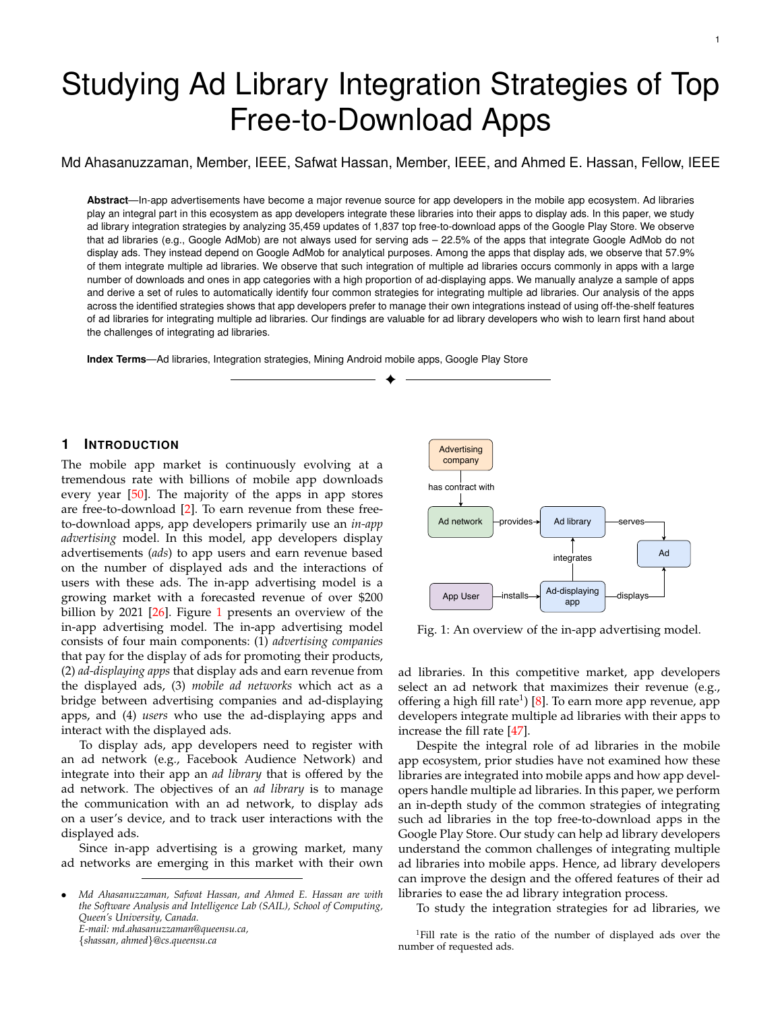Fig. 6: An overview of the self-mediation strategy.

Fig. 7: An overview of the scattered strategy.

We determine that an ad-displaying app is using the selfmediation strategy if the following rules are met:

1) The number of integrated ad libraries is more than one.

2) The number of accessed ad libraries by the app code and the number of integrated ad libraries are equal.

3) The app code contains a centralized package that communicates with the integrated ad libraries.

An example app that uses the self-mediation strategy: The "Calculator Plus Free<sup>8</sup> app, a popular app in the Tool category, integrates seven ad libraries using the self mediation strategy. The developer of the app wrote their selfmediator (com.digitalchemy.foundation.advertising), which communicates with the integrated ad libraries to serve ads. Bene-ts of using the self-mediation strategy:

A self mediation strategy provides a good encapsulation of the code code [34] because app developers write a centralized package that manages the selection and serving of ads from multiple ad libraries.

App developers are free to integrate any ad library instead of being limited to a handful of supported ad libraries like in the case of the external-mediation strategy. For example, we observe that apps that use the self-mediation strategy integrate 41 ad libraries with 67.6% of these libraries not supporting external ad-mediators.

App developers have more control over selecting the ad library from which to serve an ad. We observe that app developers mainly use the following three approaches:

1) A round-robin approach without a preferred list of ad libraries. In this approach, a random list of the integrated ad libraries is generated. If the rst ad library in the list fails to serve an ad, the self-mediator requests an ad from the next ad library. This process continues in a circular order until an ad is served from an ad library.

2) A round-robin approach with a preferred list of ad libraries. In this approach, app developers set a preferred list of the integrated ad libraries based on some measures (e.g., the popularity of the ad library in a country or the offered feature of the ad library). The self-mediator selects the best preferred ad library for requesting an ad. If that library cannot serve an ad, then the mediator selects another ad library in a circular fashion from the preferred list until an ad is served from an ad library.

3) A custom event-based approach. In this approach, the self-mediator of an app selects an ad library based on custom events (e.g., when a user clicks a particular menu item or when a user earns a reward in the app). This custom

<sup>8</sup>https://play.google.com/store/apps/details?id=com.digitalchemy. calculator.freedecimal

event-based approach allows app developers to select the most suitable ad library for increasing user-engagement for that particular event.

Drawbacks of using the self-mediation strategy:

App developers must write and maintain the code for the self-mediator. The self-mediator represents 8% (median) of the total number of classes of an app (in our studied apps). For example, the "High-Powered Flashligh $\rho$  app, a popular app in the Tool category, serves ads off 10 ad libraries which are integrated using the self-mediation strategy. The self-mediator (the "com.ihandysoft.ad" package) represents 22% of all the classes of this app. We observe that app developers modify the self-mediation support code in 64.5% (median) of their updates – supporting our intuition about the maintenance challenges of the self-mediation strategy.

The ordering of ad libraries is static in nature. In contrast, the ordering of the external-ad-mediator is much more dynamic as it can order ad libraries based on the dynamically estimated eCPM value which is calculated at run-time based on the buying and selling of ads as conducted through realtime auctions that are facilitated by digital marketplaces (i.e., ad exchanges) [42]. For example, in a Stack Overow question about the best practice for implementing a selfmediator for displaying ads  $10$ , the accepted answer recommends iterating among the integrated ad libraries (i.e., selecting the rst ad library then the next one without considering the current ad network data such as ad II rate, ad response time, and eCPM). Hence, app developers may not select the best ad library based on the current market conditions [42].

# (3) Scattered strategy

Description of the scattered strategy:

In this strategy, app developers neither write their own mediator nor use the external-ad-mediator of an ad library to serve ads from the integrated ad libraries. Rather, developers write code individually for each app screen to integrate each ad library for that particular screen.

Figure 7 shows an overview of the scattered strategy. Each app screen communicates with the integrated ad libraries directly. The integration code for the Ad Library 2 is written by the app developer for every app screen that displays an ad.

<sup>9</sup>https://play.google.com/store/apps/details?id=com.ihandysoft. led ashlight.mini

<sup>10</sup>https://stackover ow.com/questions/26685425/best-codingpractice-for-implementing-not-using-mediation-multiple-ad-networks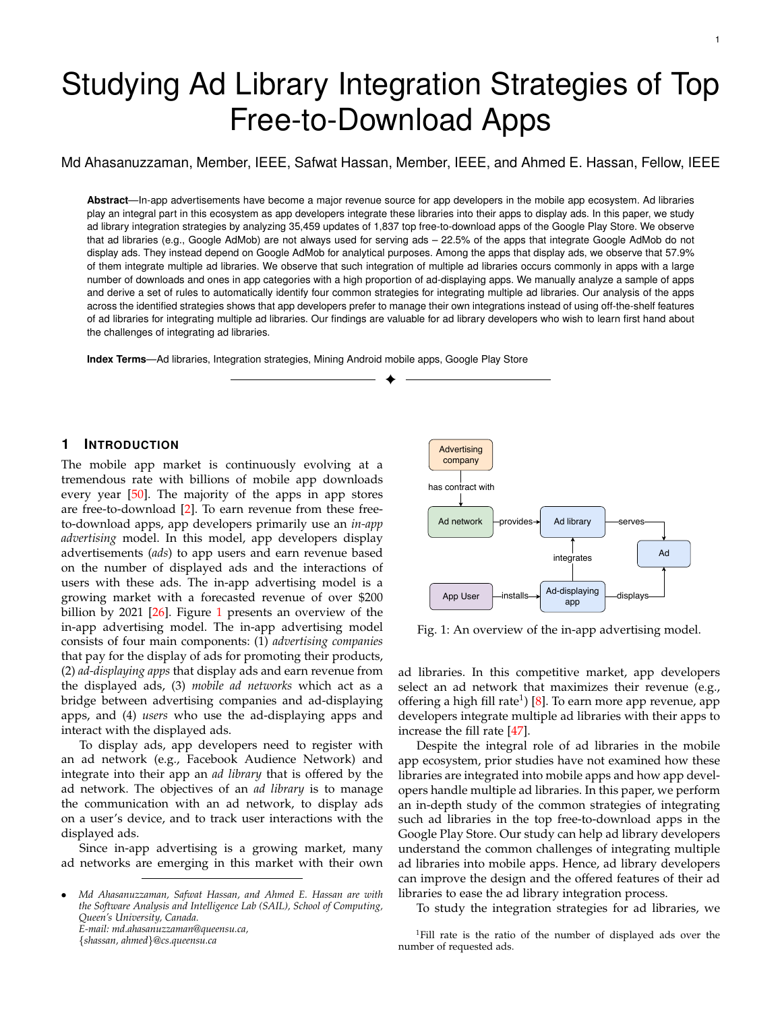Rules for automatically identifying apps that use the scattered strategy:

We determine that an ad-displaying app is using the scattered strategy if the following rules are met:

1) The number of integrated ad libraries is more than one.

2) The number of accessed ad library by the app code and the number of integrated ad libraries are equal.

3) The app code does not contain any centralized package that communicates with the integrated ad libraries.

An example app that uses the scattered strategy: The "Audiomack – Download New Mus'ic<sup>1</sup> app, a popular app in Music & audio category, integrates four ad libraries using the scattered strategy. The app displays ads on two screens. The developer of this app wrote code in two app screens for displaying ads from ad libraries individually. Bene-ts of using the scattered strategy:

App developers can quickly integrate several ad libraries as developers do not need to write a centralized package (e.g., the self-mediation support code). Designing a exible and reusable self-mediator is challenging. For example, in a Stack Over ow question about the design of a self-mediator using the Factory pattern<sup>12</sup>. The answerer notes the complexity of developing a self-mediator: "In case some of ads controller need additional action (for example update its state  $(A)$  Mixed strategy something) you have to add a new method to interface, and this will be unused with other 100500 implementations"

App developers can select ads of different ad formats (e.g., banner or native ad format) from different ad libraries based on custom events in their apps. For example, the "The Coupons App<sup>13</sup> app, a popular app in the Shopping category, integrates Google AdMob and Facebook Audience Network ad libraries in the same app screen. The app selects the Google ad library to serve banner ads and the Facebook Audience Network to serve native ads based on custom events in the app (e.g., the clicking of different buttons in that particular screen).

Drawbacks of using the scattered strategy:

App developers need more effort to maintain their code because they need to write the same integration code (i.e., copy and paste) for an ad library if the ad library is integrated for displaying ads in different app screens. We observe that the probability of modifying an ad-call-site code (i.e., the app code that invokes the methods for integrating an ad library) is 20% (median) across all ad integration strategies, with that probability increasing considerably to 30% (an increase of 50%) for the scattered strategy. We also observe that the median probability of modifying the adcall-site code for apps that use the mixed strategy is twice that of the median probability of modifying ad-call-site code for apps that use the external-mediation strategy. Hence, app developers need to modify the ad-call-site code at a much larger rate. We further discuss the maintenance effort of each integration strategy in Section 5.

The scattered code fetches ads from a single ad library for displaying ads on an app screen. For example, the " The

architecture-using-abstract-factory-pattern

Fig. 8: An overview of the mixed strategy.

Coupons App app, a popular app in the Shopping category, uses Google AdMob to serve banner ads and uses the Facebook Audience Network to serve native ads in the same app screen. If any of the integrated ad library fails to fetch an ad (e.g., due to the network not lling the ad request), the app screen will fail to display some ads. Alternatively, the app could have used an external-ad-mediator, which provides the needed logic to display ads from different ad libraries if an ad library fails to II an ad request [51]. Hence, the scattered strategy is not able to deal with low II rate issues that might arise.

Description of the mixed strategy:

In this strategy, app developers combine both the externalmediation strategy and the scattered strategy to serve ads.

Figure  $8$  shows an overview of the mixed strategy. App Screen 1 and App Screen 2 communicate with ad libraries using an external-mediation strategy, whereas App Screen 3 communicates with the Ad Library 4 using a scattered strategy.

Rules for automatically identifying apps that use the mixed strategy:

We determine that an ad-displaying app is using a scattered strategy if the following rules are met:

1) The number of integrated ad libraries is more than one. 2) The number of accessed ad libraries by the app is less than the number of integrated ad libraries.

3) The app contains an external-ad-mediator package that communicates to many of the integrated ad libraries.

An example app that uses the mixed strategy:

The "Real Guitar Free - Chords, Tabs & Simulator Gam<sup>4</sup>es app, a popular app in the Music category, integrates 14 ad libraries to serve ads. The developers of the app use the external-ad-mediator of the Google AdMob (com.google. android.gms.ads.mediation) ad library to integrate 11 ad libraries. To integrate the remaining three ad libraries, the app developers write code in the activities of some speci c screens using the scattered strategy.

Bene-ts of using the mixed strategy:

In the mixed strategy, app developers can leverage the external-ad-mediator of an ad library to serve ads from different ad libraries and can also write their integration code for other ad libraries that are not supported by the externalad-mediator. We observe that 73.9% of ad-displaying apps with the mixed integration strategy call at least one ad

<sup>11</sup>https://play.google.com/store/apps/details?id=com.audiomack 12https://stackoverow.com/questions/35146989/admodule-

<sup>13</sup>https://play.google.com/store/apps/details?id=thecouponsapp. coupon

<sup>14</sup>https://play.google.com/store/apps/details?id=com.gismart.guitar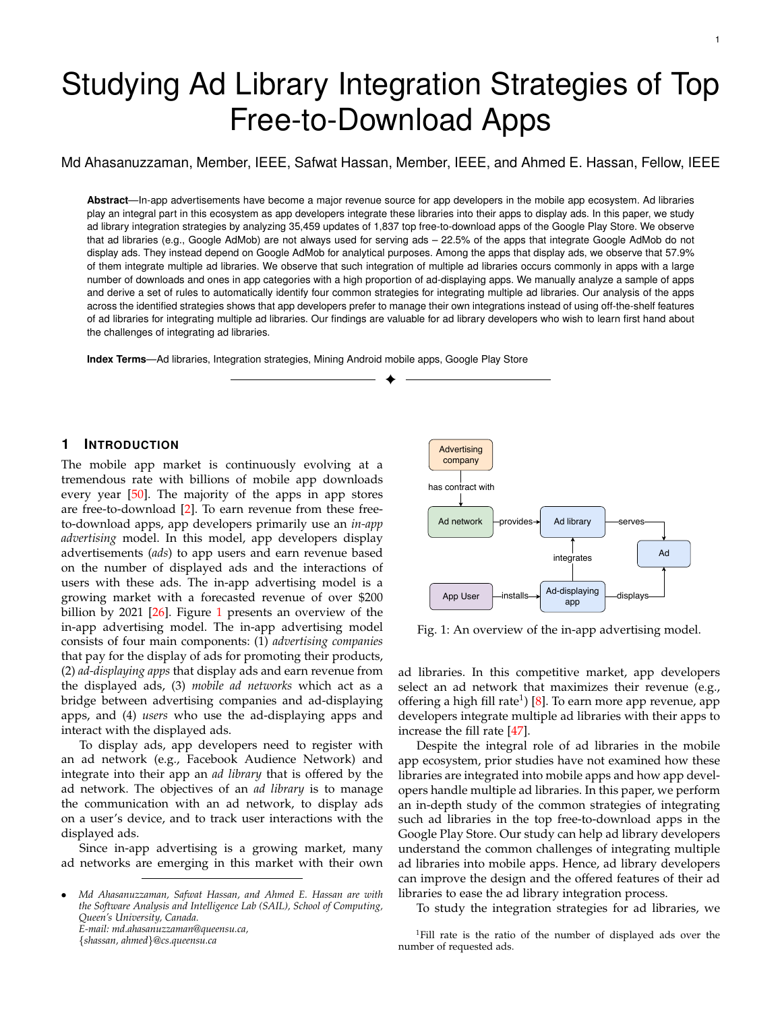TABLE 7: Mean and ve-number summary of each strategy for integrating multiple ad libraries.

| Ad library<br>integration strategy            | Mean | Min. | 1st<br>Οu. | Me-<br>dian | 3rd<br>Qu. | Max.     |
|-----------------------------------------------|------|------|------------|-------------|------------|----------|
| External-mediation strategy<br>Mixed strategy | 5    |      |            | 5           | 6          | 10<br>19 |
| Self-mediation strategy<br>Scattered strategy | 3    |      |            | 3           |            | 12<br>5  |

library that is not supported by the currently available external-ad-mediators.

Apps that use the mixed strategy integrate more ad libraries than the apps that use other strategies. Table 7 shows the mean and ve-number summary of the integrated ad libraries for each of the four identi ed strategies. App developers integrate a maximum of 19 ad libraries using the mixed integration strategy. We nd two apps from the "TextMe, Inc" company that integrate 19 ad libraries. We observe that they use the external-ad-mediator of the Google AdMob ad library which supports 13 ad libraries, the rest of the ad libraries are integrated using a scattered strategy since they are not supported by the external-ad-mediator of the Google AdMob ad library.

One possible reason for using the mixed strategy is that app developers can display ad formats (e.g., native ads) that are not supported by the external-ad-mediator. For example, a Stack Overow post notes that a developer used an external-ad-mediator to successfully display banner and interstitial ads from both FAN and Google AdMob ad libraries. Later, the developer wanted to display native ads from the Facebook Audience Network (FAN) using the external-ad-mediator of the Google AdMob. The accepted answer indicates that displaying native ads is currently not supported by the external-ad-mediator ( "Mediation through FAN for Native Express Ads is currently not possible. Only all ad-call-site code (we consider only the statements that TAN for Native Express Ads is currently flot possible. Only all ad-call-site code (we consider only the statements that<br>Banner ads and Interstitials have been enabled for mediation for all library methods) of the integrate FAN.")<sup>15</sup>. Therefore, app developers need to use the mixed strategy to display banner, native, and interstitial ads from multiple ad libraries.

Drawbacks of using the mixed strategy: Since the mixed strategy is the combination of the external-mediation strategy and the scattered strategy, some of the drawbacks of these two strategies exist in the mixed strategy. For example, developers need to spend considerable effort on maintaining their ad library code as we observe that the mixed strategy has the highest probability of modifying ad-callsite code (37%) compared to other integration strategies. We further discuss the maintenance effort of each integration strategy in Section 5.

15https://stackoverow.com/questions/37648710/facebookaudience-network-native-ads-via-admob-mediation-adapter

#### Summary of RQ 2

App developers dominantly use the mixed and the self-mediation strategy to integrate multiple ad libraries. This might be due to the currently available external-ad-mediators not satisfying their needs. To have more control over selecting ad libraries for displaying ads, app developers write their own centralized packages (self-mediator) based on preferred metrics (e.g., location information) or custom app events in the self-mediation strategy.

# 5 DISCUSSION OF THE MAINTENANCE OVERHEAD OF THE INTEGRATED AD LIBRARIES FOR EACH INTE - GRATION STRATEGY

In this section, we discuss how app developers maintain their integrated ad libraries over time across the different ad library integration strategies. In particular, we discuss the modi ability of the ad-call-site code (i.e., the app code that invokes the methods for integrating an ad library) and the exibility of integrating ad libraries for each integration strategy.

#### 5.1 The modi ability of ad-call-site code

In this section, we discuss the modi ability of the ad-callsite code along two aspects: (1) how frequently (in terms of the proportion of the updates of an app) do app developers modify the ad-call-site code, and (2) what is the proportion of the ad-call-site code that is modi ed across the integration strategies.

To determine if an ad-call-site code is modi ed, we follow the same approach of Ruiz et al. [48]. In this approach, for each update of an ad-displaying app that integrates multiple ad libraries, we generate the class signatures for invoke ad library methods) of the integrated ad libraries. The ad-call-site code is modi ed in the app update ( $\mathsf{U}_{i+1}$  ) if the signature of the app update  $(U_{i+1})$  is different than the signature of the app update  $(U_i)$ .

The probability of modifying the ad-call-site code is 20% (median) across all integration strategies, with that probability increasing considerably to 37% (an increase of 60%) for ad-displaying apps which use the mixed strategy. Figure 9 shows the probability of modifying adcall-site code for every integration strategy. The probability of modifying the ad-call-site code for ad-displaying apps that use the mixed or the scattered strategies is well above the median. We also observe that the median probability of modifying the ad-call-site code for apps that use the mixed strategy is twice that of the median probability of modifying ad-call-site code for apps that use the external-mediation strategy. This result indicates one of the drawbacks of using the scattered strategy since app developers would need to modify the ad-call-site code in a much larger proportions of the deployed updates of their apps.

To study whether the modi ability of ad-call-site code is signi cantly different across the identi ed four ad library integration strategies, we use the "Kruskal Wallis test" [54]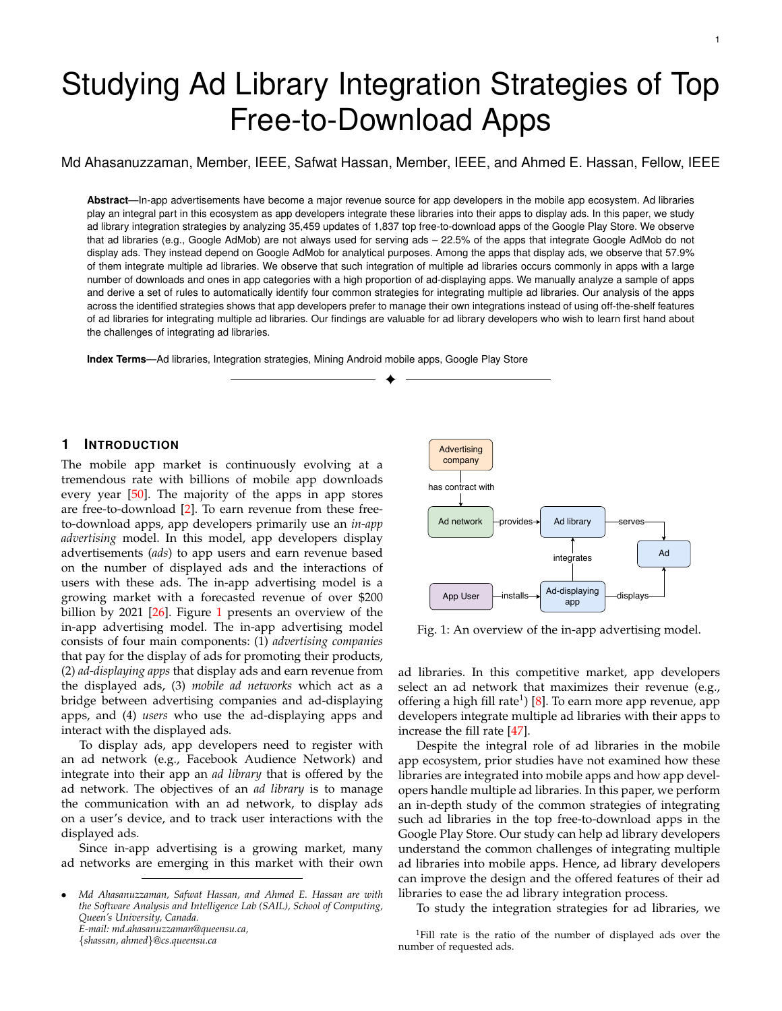Fig. 9: The probability of modifying the ad-call-site code in a update for each ad library integration strategy. The red dotted line shows the median probability of modifying the ad-call-site code.

TABLE 8: The proportion of modifying ad call-site-code when an ad library is updated and when an ad library is not updated.

|                             | % of the modi ed ad-call-site code (median) |                           |  |
|-----------------------------|---------------------------------------------|---------------------------|--|
| Ad library integration      | when the integrated                         | when the integrated       |  |
| strategy                    | ad library is updated                       | ad library is not updated |  |
| Mixed strategy              | 12.5                                        | 0.0                       |  |
| Scattered strategy          | 8.0                                         | 0.0                       |  |
| Self-mediation strategy     | 3.3                                         | 0.0                       |  |
| External-mediation strategy | 0.0                                         | 0.0                       |  |

for the four categorical variables (i.e., the integration strategies) and one metric (the probability of modifying ad-callsite code). We observe that the generated p-value of the test is less than 0.05 indicating that the the modi ability of adcall-site code is signi cantly different across the identi ed four strategies.

The proportion of the modi ed ad-call-site code (# of ad-call-site code that is modi ed / # of total ad-call-site code) is highest in the apps that use the mixed strategy. We observe that app developers mostly modify ad-callsite code when they update their integrated ad libraries. Table 8 shows the proportion of the modi ed ad call-sitecode in two cases: when the integrated ad library is updated and when the integrated ad library is not updated. The proportion (median) of the modi ed ad-call-site code is zero for each integration strategy (when the ad library is not updated) indicating that app developers usually do not optimize or change their ad library integration code. We also observe that in the case when an ad library is updated, the proportion of the modi ed ad-call-site code for the apps that use the mixed strategy is the highest whereas the proportion is almost zero for the apps that use the external-mediation strategy. This result is another indication that the mixed strategy may require more effort for maintaining the adcall-site code over time.

Fig. 10: The ratio of adding/removing ad libraries for each of the integration strategies.

### 5.2 The ratio of adding or removing ad libraries

To understand which ad integration strategy is more exible for modifying (adding or removing) ad libraries, we calculate the ratio of adding/removing ad librariesor each integration strategy. The ratio of adding/removing ad libraries is the ratio of the number of updates of an app in which the app developer adds or removes an ad library to the total number updates of the app.

The mixed strategy provides app developers with the highest exibility. Figure 10 shows the the ratio of adding/removing ad librariesfor each identi ed strategy. The mixed strategy has the highest ratio value. We identify ad libraries that are added or removed in the cases of mixed strategy and observe that all these ad libraries are supported by the currently available external-ad-mediators that are currently in use by these apps. One explanation of this result is that developers do not need to write or update any code to add or remove ad libraries. This hypothesis explains as well the high ratio of adding or removing ad librariesr the externalmediation strategy.

#### 6 IMPLICATIONS

In this section, we describe the implications of our study of ad library integration practices for ad library developers.

The developers of the Google AdMob should spin out their functionality for uniquely identifying a user's device out of their ad library. As described in Section 4.1, analytics libraries have a dependency on the Google Ad-Mob ad library. These analytics libraries depend on one of the packages of the Google AdMob ad library named "com.google.android.gms.identi er" for the unique identi--cation of a user's device. These analytics libraries need this functionality to track a user's in-app behavior. However, the main purpose of an ad library is to serve ads. This unusual dependency on the Google AdMob increases the size of many apps that use these analytical libraries. Hence, developers of the Google AdMob ad library should rethink their design and offer a separate library for uniquely identifying a user's device.

Ad library developers should improve their externalad-mediators by (1) enabling the integration of new ad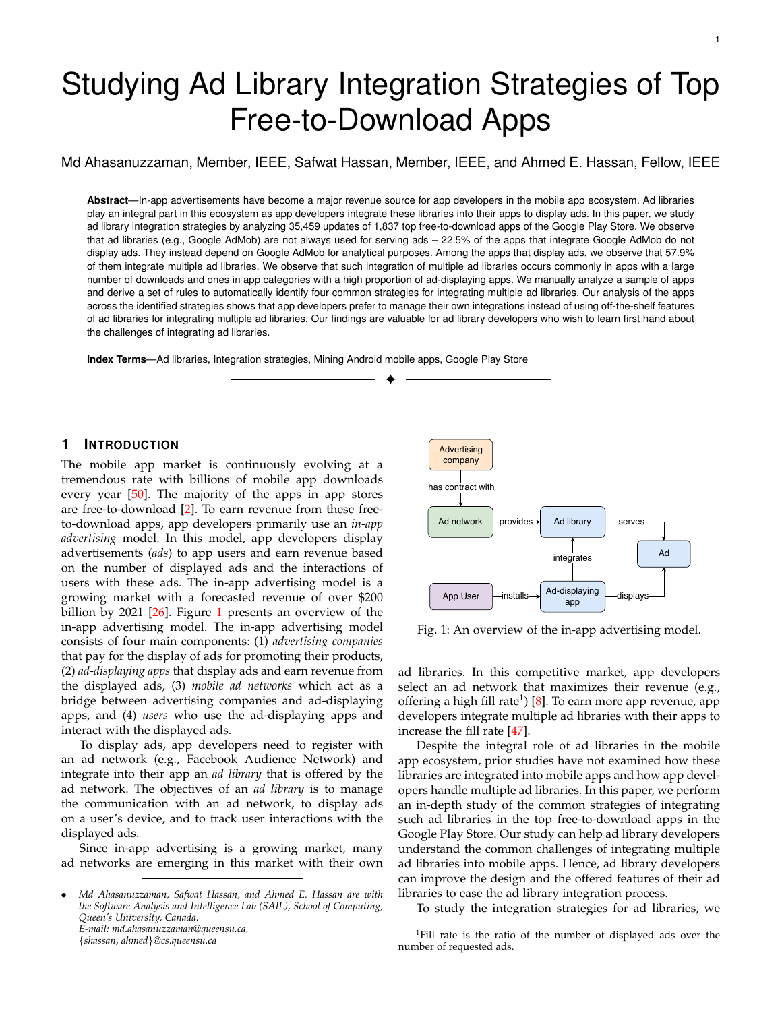libraries at run-time and (2) increasing the supported ad libraries. In Section 5, we observed that app developers use the mixed strategy to achieve the highest exibility (i.e., continuously adding or removing an add library). To improve the exibility of the external-ad-mediators, ad library developers need to provide some standardized interfaces to enable the integration of new ad libraries for app developers at run-time instead of only at design time. For example, the Google AdMob ad library has started to offer an SDK-less mediation feature that enables app developers to add or delete any new ad library by re-con-guring their Google ads account (without a need for deploying an update that adds/removes the required ad libraries) [40].

Another dimension for improving the external-admediators is to add support for a large number of ad libraries. For example, in Section 4.2, we observed that 73.9% of the ad-displaying apps that use the mixed integration strategy call at least one ad library that is not supported by any external-ad-mediators. Hence, we recommend ad library developers who offer external-ad-mediators to support more ad libraries so that app developers can choose different ad libraries and maximize ad revenue.

Ad library developers should offer more feature control over the selection of ad libraries. In Section 4.2, we observed that the external-ad-mediator selects an ad library from the integrated ad libraries based on dynamically calculated eCPM value. Although this selection process is useful for accurately estimating the revenue for a served ad, it might prevent an app from achieving an improved userengagement as the process is not customizable. In addition, this process is not transparent to app developers (as eCPM is calculated dynamically) and does not allow app developers to control the selection of ad libraries. We observe that app developers write code (representing a median of 8% of the total number of classes of the app code) for their selfmediator which offers them custom control when selecting ad libraries based on a preferred list of ad libraries (e.g., a list of ad libraries based on the popularity of ad libraries in a country) or custom app events. Therefore, we recommend ad library developers to offer a more con-gurable interface for their external-ad-mediators so that app developers can have more control in selecting ad libraries when they desire.

#### 7 THREATS TO VALIDITY

Construct validity: App developers can obfuscate their code using obfuscation tools (e.g., Proguard) before releasing their apps. Although Google Admob requires app developers to keep the names of the ad-show methods nonobfuscated (so apps do not get issues while displaying ads) [39], we cannot assure that all the studied ad libraries mandate the same requirement. Hence, code obfuscation can impact our results as follows. First, if developers obfuscated their package names, our approach will not be able to identify whether an app contains an ad library (as our approach depends on the library package name to identify apps that integrate ad libraries). Moreover, if developers obfuscated the method name of their code, our approach cannot identify whether an app displays ads (as we depend on the usage of the ad-show methods). To assess the impact of code obfuscation on our analysis, we measured

the percentage of classes, methods and packages that are obfuscated in our studied apps (i.e., 1,837). We followed a similar approach to identify the code obfuscation that is employed by Li et. al. [44]. We nd at least one obfuscated package and method in 18% and 39% of the studied apps, respectively. However, in our further investigation on how much code is obfuscated in an app, we nd that only 0.5% (median) of the methods in an app are obfuscated. This result shows that there can be an impact (albeit a small percentage) that this 0.5% of the obfuscated methods include show-ad methods of ad libraries.

To identify the apps that display ads, our approach depends on identifying the calls to the show-ad methods of ad libraries. Hence, if an app is obfuscated, our approach would miss identifying such apps as ad-displaying apps. As shown in Table 1, 530 apps do not contain any of the identi-ed ad library packages. Out of these 530 apps, 225 apps (12% of our overall studied 1,837 apps) contain obfuscated methods in their app code. Since we are not the owner of such 225 apps, we cannot assure whether they integrate ad libraries for displaying ads. Hence, our approach may miss identifying ad-displaying apps for these 225 apps. To overcome the issue of missing the identi cation of ad-displaying apps, we extensively studied a large number of apps that display ads to understand how app developers integrate ad libraries into their apps on a large scale. It should be noted that our objective of this study is to understand the approaches that app developers use to integrate multiple ad libraries instead of providing an approach on how to reverse engineer obfuscated methods. Future studies could extend our work by including more apps from different app stores.

Identifying the ad libraries among the many integrated third-party libraries is a non-trivial task. First, we identify packages using the regular expression [aA][dD] (following a similar approach as proposed by Ruiz et al. [48]). Then, we manually search online each identi ed package to determine whether it corresponds to an ad library. However, there is a chance, albeit an extremely rare one, that an ad library exists for which we cannot nd any web reference. To measure the comprehensiveness of our identi ed integration strategies for ad libraries, we randomly examined a statistical representative sample of 65 apps out of the 1,076 studied ad-displaying apps. Such a sample would provide us with a con dence level of 90% and a con dence interval of 10%. To eliminate any bias in our evaluation results, we do not include the 62 apps that we initially used for identifying the integration strategies for ad libraries. For each of the examined apps, we manually examine the app code (using the Understand tool [17]) and validate the integration strategies for ad libraries. We observe that our proposed rules correctly identify the integration strategies for ad libraries in each of the studied 65 apps.

Our approach for detecting ad libraries could suffer from both false positives and false negatives. In the case of false positives, an app can have dead code with the word ad in its class name or a popular third-party library might include ads mischievously. However, we studied top apps where we feel the chances of these concerns to occur are extremely low. The chances of an app to not remove dead code (and associated ad libraries) is quite low since mobile apps are very mindful of the size of their binaries. The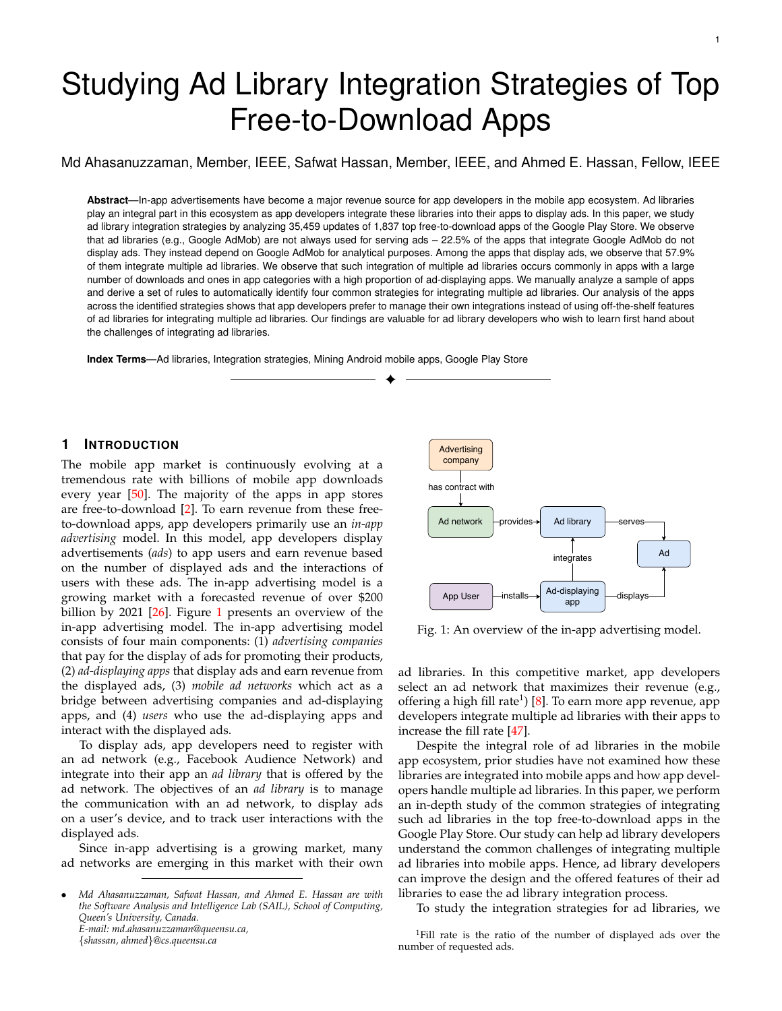chances of an app being malicious are very low again – recall we are looking at the top apps in the market. In the case of false negatives, there might be many ad networks that do not have the term "ad" in its APIs. The chances of an ad library not having the word "ad" is in it is quite low. We also retrieved a list of ad libraries that is curated by AppBrain [27] and nd that the concern is not valid for that curated list. The list contains 120 ad libraries. Of these 120 ad libraries, we identi ed 63 ad libraries that are integrated by the studied apps. For the remaining 57 ad libraries, we read their documentation and GitHub packages and validate that their API contains "ad" keyword.

To identify the display ad methods, we read the documentation of the studied ad libraries and summarized the list of methods that are currently used for displaying ads. However, APIs may evolve, and developers of ad libraries might rename such methods (display ad methods). To determine whether such show-ad methods were changed during the evolution of their libraries, we investigated all the historical versions that are released during our study period of the top ten popular ad libraries as follows. First, we identi ed the methods that are currently used for displaying ads from the documentation of the selected ad libraries. Then, for each version of the selected ad library, we examined whether the identi ed methods exist in the prior versions. We observed that all identi ed methods exist in the prior versions. We did observe that a few ad libraries (e.g., Unity Ads) added new parameters to these methods. However, they did not change the name of these methods. For example, developers of Unity Ads did not change the name of the show method in version 2.0.0 but changed the parameter of the show method (i.e., developers changed "public void show (Map< String, Object> options)" to "public void show (activity, placementId) in version 2.0.0).

One possible threat in our analysis on the modi ability of ad-call-site code is code obfuscation of the studied apps as we cannot track the changes in code statements of obfuscated code. Hence, in this analysis, we Itered the obfuscated classes by following the approach of Li et al. [44] and studied the classes of the app code that are non-obfuscated. As illustrated in our discussion about code obfuscation, the percentage of obfuscated code is only 0.5% (median). Consequently, there might be cases (albeit a small percentage) that the obfuscated code has modi cations to the ads-call cite statements.

Since native code in Android apps is deployed in the app as executable and linkable format (ELF) les [56], using static analysis tools cannot generate all the dependency links accurately [22]. We observe that only 6.5% of the studied apps (121 apps out of 1,837) use native code in our dataset. We identi ed 69 of them integrate ad libraries (i.e., 6% of the studied ad-displaying apps). Studying native apps using static analysis tools is dif cult and could introduce falsepositive cases in our analysis of the integration strategies for ad libraries. Hence, we removed these 69 apps from our analysis of the integration strategies for ad libraries. Since these apps are only 3.8% of the studied apps (69 apps out of 1,837), we believe that they will not drastically impact our overall study of the integration strategies for ad libraries. External validity: In this study, we only focused on the top free-to-download Android apps from the Google Play Store

as these apps have a large user-base. Hence, these apps are likely to follow the in-app advertising model to earn revenue. Future studies should broaden the scope of our study and investigate how our ndings apply to ad libraries that are integrated into other types of apps, such as non-free apps, Windows apps, or iOS apps.

According to the documentation of the top ten most used ad libraries in our dataset, the standard way of displaying ads (e.g., full-screen ads) is to call display methods (e.g., showAd()) of the integrated ad libraries [38], [46] from an activity. However, we do not claim that this is the only way to display ads. For example, app developers can display ads using intents or background services<sup>16</sup>, which is not a recommended practice for displaying ads [37]. In addition, malicious apps and adware apps can also display ads using background threads, which can be dif cult to detect using static analysis mechanisms. However, we analyzed popular apps that are actively maintained and present in the Google Play Store, and they are less likely to be malicious or adware apps. Additionally, our scope for this research is to study how popular apps integrate ad libraries using standard practices.

In Section  $6$ , we point out three implications for ad library developers based on our study so that ad library developers could improve their ad libraries. We cannot deny that there might be some business constraints for improving ad libraries. For example, supporting the integration of all ad libraries in the ad market is not a simple task and might be in uenced by competitive business logic instead of technical challenges. However, our ndings and suggestions show the current needs and the potential directions for improving the design of third-party ad libraries. Hence, our study could be helpful for ad library developers who wish to improve their ad libraries.

Internal validity: In our analysis for identifying strategies for integrating multiple ad libraries, we manually investigated apps that integrate more than one ad library. In this analysis, we cannot deny the possibility of misinterpreting the identi ed strategies for integrating multiple ad libraries since we are not the original developers of the studied apps. To mitigate this threat, the rst and the second author leveraged the Understand tool to analyze the call graph of the apps, carefully investigated each of the sampled apps, and consolidated their results.

App users are prone to repackaged or piggybacked apps. Hence, app stores (e.g., the Google Play Store) continuously remove piggybacked apps or malware apps [55], [57]. In our study, we selected 1,837 top free-to-download apps in the Google Play Store. These apps have a large user-base, and they are popular in the Google Play Store for multiple years. Therefore, our studied apps are less likely to be malicious apps.

There are different possibilities that can drive app developers to group their code in a single component. For example, poorly designed apps can be one of the reasons for this behaviour (e.g., app developers just group all their code in a single package). However, based on our de nition of the self-meditation strategy, an app contains a self-

<sup>16</sup>https://stackover ow.com/questions/14313641/show-admobads-from-service-context-android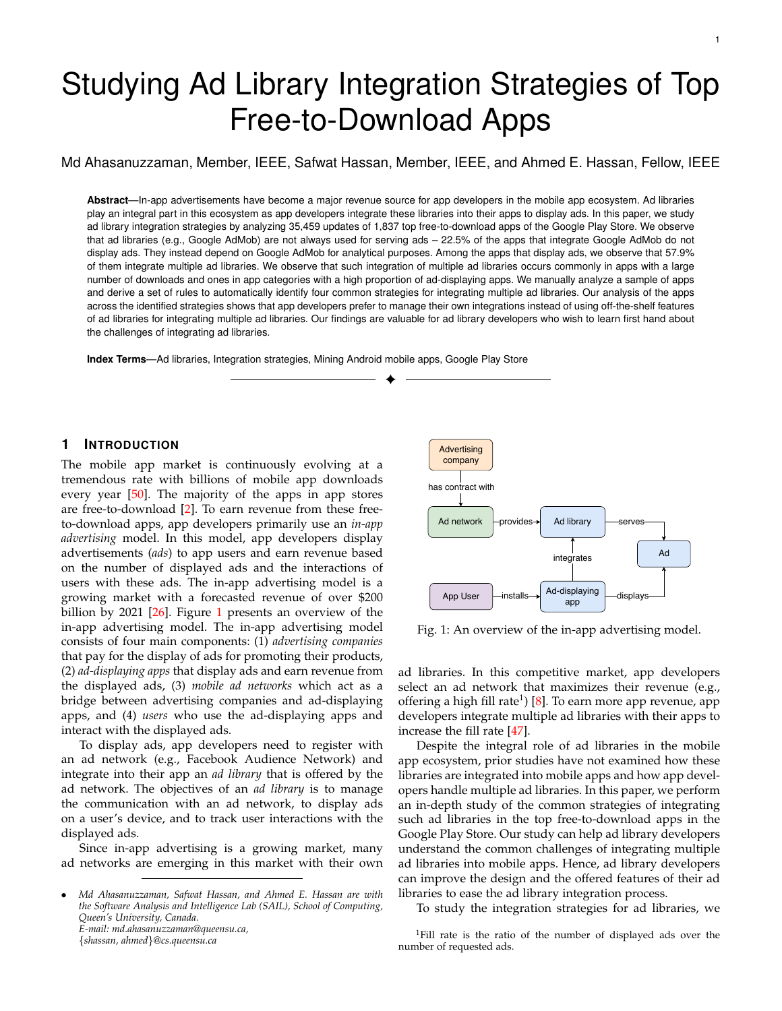mediator component whenever: (1) there is a centralized component that handles all the calls to ad libraries and (2) this component is separate from the main activity code components. Our de nition means that the design of the selfmeditation strategy encapsulates ad handling mechanism in a single package. However, the identi ed self-mediation components can be poorly designed if they contain nonad related features. Assessing the quality of mobile apps architecture is out of the scope of this work. Further work can analyze the architectural quality of mobile apps.

To validate our approach for identifying the "selfmediation" strategy, we manually investigate a randomly selected sample of 20 apps that use the "self-mediation" strategy. We observe that all of these 20 apps have a centralized package that is mainly responsible for managing the integration of multiple ad libraries. For example, the "Agar.IO" app (a popular app in the Game category) has the package "com.miniclip.ads", which manages the integration of 12 ad libraries.

#### 8 RELATED WORK

Prior research mainly studies the updates of ad libraries, the cost of ad libraries and the security and privacy issues surrounding ad libraries. Our study is the rst to investigate the integration practices of ad libraries. We brie y highlight the related works as follows:

#### 8.1 The updates of ad libraries

Ruiz et al. [48] analyzed 120,981 free-to-download apps in the Google Play Store and conducted an empirical analysis on the rational for updating ad libraries. The authors observed that ad libraries are updated frequently in 48% of the studied apps. They also observed that updating the interaction between ads and app users, integrating new types of ads, bugs related to memory management, and the improvement of the privacy of collected personal information are the main reasons for updating ad libraries.

Salza et al. [49] conducted an empirical study on the evolution history of 291 apps from the F-Droid repository to study how mobile app developers perform updates of thirdparty libraries including ad libraries. The authors observed that developers usually upgrade towards a newer version.

Derr [30] et al. studied the updatability of third-party libraries (including ad libraries). The authors analyzed the updatability of the integrated libraries of 1,264,118 apps from the Google Play Store. They observed that in 85.6% of the cases the integrated ad libraries can be updated to at least one version without any code changes.

#### 8.2 The cost of ad libraries

Ruiz et al. [47] analyzed 236,245 apps of the Google Play Store to study the effect of ad libraries on the rating. The authors observed that there is no relation between the number of integrated ad libraries and the rating of an app. However, they observed that integrating certain ad libraries could negatively impact the rating of an app.

Gui et al. [41] analyzed 21 apps from the Google Play Store to study ve types of costs due to the integration of ad libraries: performance, energy consumption, network,

maintenance of ad-related code, and user reviews. The authors observed that the cost of ads in terms of performance, energy and bandwidth are the most concerning. They also observed that complaints related to ads had a negative impact on the rating of an app.

Gao et al. [35] designed a tool named IntelliAd to automatically measure the ads-related consumption (e.g., memory) on apps. In another study, Gao et al. [36] used the IntelliAd tool and analyzed 12 ad schemes that are used in 104 Android apps to measure and compare the performance cost of different ad schemes. They observed that ad schemes are signi-cantly different and recommend app developers to choose appropriate ad providers and ad sizes.

To study the ad network traf c, Vallina-Rodriguez et al. [53] analysed the dataset of a European mobile career with more than 3 million subscribers. The author observed that ads account for 1% of all mobile traf-c in the data and, static images and text les are likely to be re-downloaded. To limit the energy and network signalling overhead, the authors built a prototype implementation using the caching mechanism which shows an improvement of 50% in energy consumption for of ine ad-sponsored apps.

Mohan et al. [45] studied the communication costs for serving ads by analyzing 15 Windows phone. The authors observed that ad modules consume a signi cant part of an app's energy and the overhead of ads is bigger in apps with no or small network activity. To reduce the energy of an app that displays ads, the authors proposed an solution of prefetching ads. The authors analyzed the logs of 1,693 Windows phone users over one month and 25 iPhone users over one year to predict app usage from historical data and built time-based models to predict available ad slots in future. The entropy-based evaluation result of their approach shows that the approach is capable to reduce energy consumption of client devices by 50%.

Li et al. [44] analyzed 1.5 million apps that use 1,113 third-party libraries and 240 ad libraries to investigate the use of commonly integrated libraries. Their study showed that the most used library is the Google ad library (AdMob). Li et al. also found that a signi cant portion of apps that used ad libraries are apps that are agged by virus scanners. In our study, we focus on top rated apps to avoid dealing with malicious and spam apps.

#### 8.3 The security of ad libraries

Book et al. [29] studied the evolution of the requested permission of ad libraries. The authors analyzed the integrated ad libraries of 114,000 apps for this study. They observed that the use of permission has increased over time and most of the requested permissions of ad libraries are risky in terms of the privacy and security of app users.

Kim et al. [43] analyzed the protective security measures of the four ad libraries (Google AdMob, MoPub, AirPush, and AdMarvel) against malicious advertising. The authors observed that malicious ads can collect sensitive information about a user with the help of permissions such WRITE EXTERNAL STORAGE and READ EXTERNAL STORAGE which give access to external storage.

Dong et al. [32] studied ad fraud (e.g., cheating advertisers with fake ad clicks) in mobile apps and proposed an